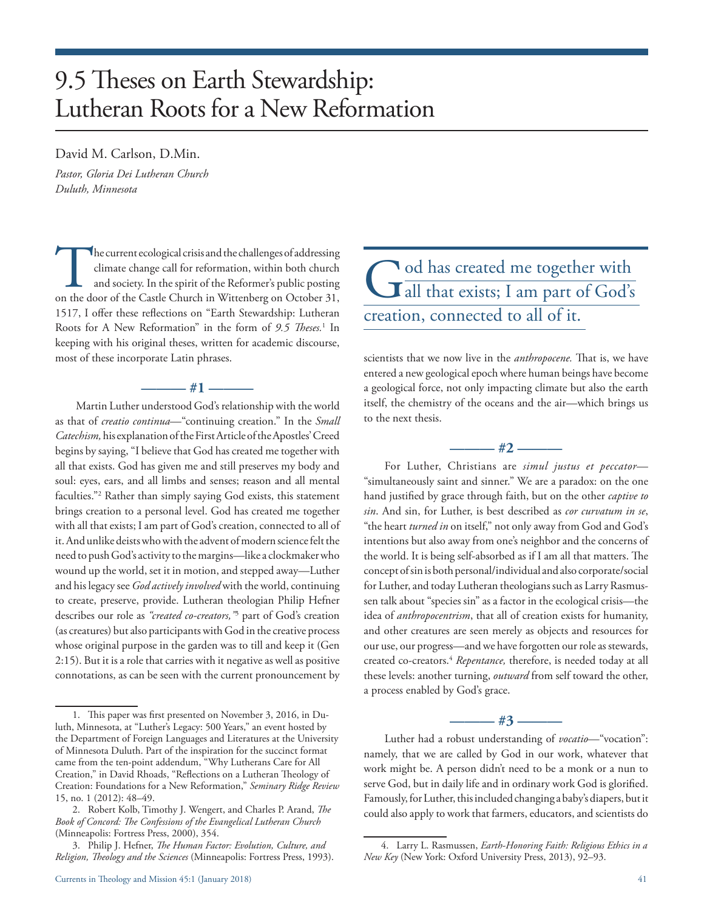# 9.5 Theses on Earth Stewardship: Lutheran Roots for a New Reformation

#### David M. Carlson, D.Min.

*Pastor, Gloria Dei Lutheran Church Duluth, Minnesota* 

The current ecological crisis and the challenges of addressing climate change call for reformation, within both church and society. In the spirit of the Reformer's public posting on the door of the Castle Church in Wittenb climate change call for reformation, within both church and society. In the spirit of the Reformer's public posting 1517, I offer these reflections on "Earth Stewardship: Lutheran Roots for A New Reformation" in the form of *9.5 Theses.*<sup>1</sup> In keeping with his original theses, written for academic discourse, most of these incorporate Latin phrases.

# **——— #1 ———**

Martin Luther understood God's relationship with the world as that of *creatio continua*—"continuing creation." In the *Small Catechism,* his explanation of the First Article of the Apostles' Creed begins by saying, "I believe that God has created me together with all that exists. God has given me and still preserves my body and soul: eyes, ears, and all limbs and senses; reason and all mental faculties."2 Rather than simply saying God exists, this statement brings creation to a personal level. God has created me together with all that exists; I am part of God's creation, connected to all of it. And unlike deists who with the advent of modern science felt the need to push God's activity to the margins—like a clockmaker who wound up the world, set it in motion, and stepped away—Luther and his legacy see *God actively involved* with the world, continuing to create, preserve, provide. Lutheran theologian Philip Hefner describes our role as *"created co-creators,"*<sup>3</sup> part of God's creation (as creatures) but also participants with God in the creative process whose original purpose in the garden was to till and keep it (Gen 2:15). But it is a role that carries with it negative as well as positive connotations, as can be seen with the current pronouncement by

# God has created me together with all that exists; I am part of God's creation, connected to all of it.

scientists that we now live in the *anthropocene.* That is, we have entered a new geological epoch where human beings have become a geological force, not only impacting climate but also the earth itself, the chemistry of the oceans and the air—which brings us to the next thesis.

**——— #2 ———**

For Luther, Christians are *simul justus et peccator*— "simultaneously saint and sinner." We are a paradox: on the one hand justified by grace through faith, but on the other *captive to sin*. And sin, for Luther, is best described as *cor curvatum in se*, "the heart *turned in* on itself," not only away from God and God's intentions but also away from one's neighbor and the concerns of the world. It is being self-absorbed as if I am all that matters. The concept of sin is both personal/individual and also corporate/social for Luther, and today Lutheran theologians such as Larry Rasmussen talk about "species sin" as a factor in the ecological crisis—the idea of *anthropocentrism*, that all of creation exists for humanity, and other creatures are seen merely as objects and resources for our use, our progress—and we have forgotten our role as stewards, created co-creators.<sup>4</sup> Repentance, therefore, is needed today at all these levels: another turning, *outward* from self toward the other, a process enabled by God's grace.

#### **——— #3 ———**

Luther had a robust understanding of *vocatio*—"vocation": namely, that we are called by God in our work, whatever that work might be. A person didn't need to be a monk or a nun to serve God, but in daily life and in ordinary work God is glorified. Famously, for Luther, this included changing a baby's diapers, but it could also apply to work that farmers, educators, and scientists do

<sup>1.</sup> This paper was first presented on November 3, 2016, in Duluth, Minnesota, at "Luther's Legacy: 500 Years," an event hosted by the Department of Foreign Languages and Literatures at the University of Minnesota Duluth. Part of the inspiration for the succinct format came from the ten-point addendum, "Why Lutherans Care for All Creation," in David Rhoads, "Reflections on a Lutheran Theology of Creation: Foundations for a New Reformation," *Seminary Ridge Review*  15, no. 1 (2012): 48–49.

<sup>2.</sup> Robert Kolb, Timothy J. Wengert, and Charles P. Arand, *The Book of Concord: The Confessions of the Evangelical Lutheran Church* (Minneapolis: Fortress Press, 2000), 354.

<sup>3.</sup> Philip J. Hefner, *The Human Factor: Evolution, Culture, and Religion, Theology and the Sciences* (Minneapolis: Fortress Press, 1993).

<sup>4.</sup> Larry L. Rasmussen, *Earth-Honoring Faith: Religious Ethics in a New Key* (New York: Oxford University Press, 2013), 92–93.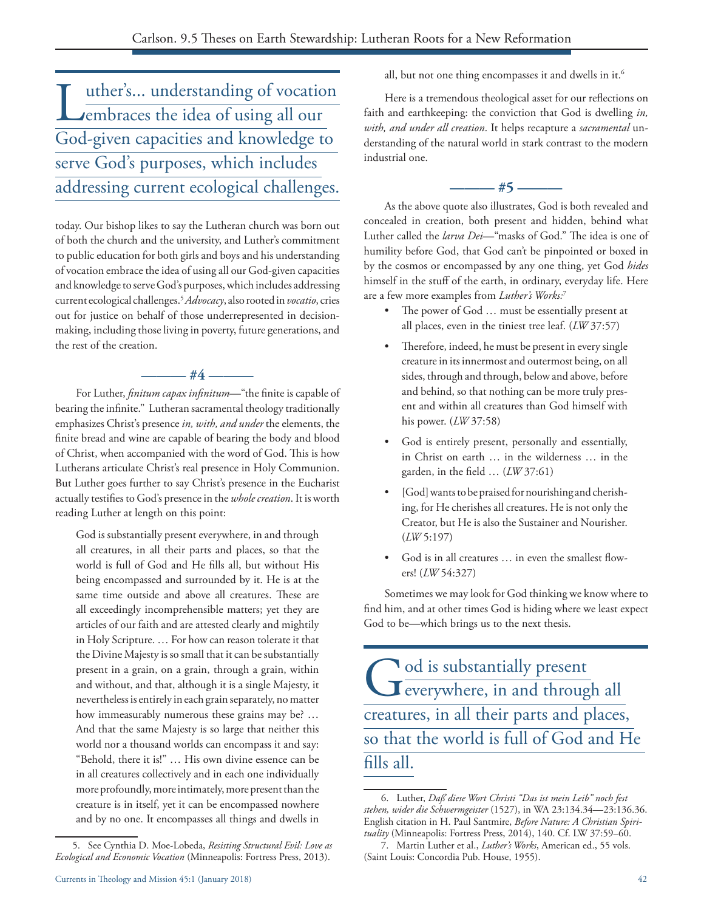Luther's... understanding of vocation<br>
embraces the idea of using all our embraces the idea of using all our God-given capacities and knowledge to serve God's purposes, which includes addressing current ecological challenges.

today. Our bishop likes to say the Lutheran church was born out of both the church and the university, and Luther's commitment to public education for both girls and boys and his understanding of vocation embrace the idea of using all our God-given capacities and knowledge to serve God's purposes, which includes addressing current ecological challenges.5*Advocacy*, also rooted in *vocatio*, cries out for justice on behalf of those underrepresented in decisionmaking, including those living in poverty, future generations, and the rest of the creation.

For Luther, *finitum capax infinitum*—"the finite is capable of bearing the infinite." Lutheran sacramental theology traditionally emphasizes Christ's presence *in, with, and under* the elements, the finite bread and wine are capable of bearing the body and blood of Christ, when accompanied with the word of God. This is how Lutherans articulate Christ's real presence in Holy Communion. But Luther goes further to say Christ's presence in the Eucharist actually testifies to God's presence in the *whole creation*. It is worth reading Luther at length on this point:

**——— #4 ———**

God is substantially present everywhere, in and through all creatures, in all their parts and places, so that the world is full of God and He fills all, but without His being encompassed and surrounded by it. He is at the same time outside and above all creatures. These are all exceedingly incomprehensible matters; yet they are articles of our faith and are attested clearly and mightily in Holy Scripture. … For how can reason tolerate it that the Divine Majesty is so small that it can be substantially present in a grain, on a grain, through a grain, within and without, and that, although it is a single Majesty, it nevertheless is entirely in each grain separately, no matter how immeasurably numerous these grains may be? … And that the same Majesty is so large that neither this world nor a thousand worlds can encompass it and say: "Behold, there it is!" … His own divine essence can be in all creatures collectively and in each one individually more profoundly, more intimately, more present than the creature is in itself, yet it can be encompassed nowhere and by no one. It encompasses all things and dwells in

all, but not one thing encompasses it and dwells in it.<sup>6</sup>

Here is a tremendous theological asset for our reflections on faith and earthkeeping: the conviction that God is dwelling *in, with, and under all creation*. It helps recapture a *sacramental* understanding of the natural world in stark contrast to the modern industrial one.

# **——— #5 ———**

As the above quote also illustrates, God is both revealed and concealed in creation, both present and hidden, behind what Luther called the *larva Dei*—"masks of God." The idea is one of humility before God, that God can't be pinpointed or boxed in by the cosmos or encompassed by any one thing, yet God *hides*  himself in the stuff of the earth, in ordinary, everyday life. Here are a few more examples from *Luther's Works:*<sup>7</sup>

- The power of God ... must be essentially present at all places, even in the tiniest tree leaf. (*LW* 37:57)
- • Therefore, indeed, he must be present in every single creature in its innermost and outermost being, on all sides, through and through, below and above, before and behind, so that nothing can be more truly present and within all creatures than God himself with his power. (*LW* 37:58)
- • God is entirely present, personally and essentially, in Christ on earth … in the wilderness … in the garden, in the field … (*LW* 37:61)
- [God] wants to be praised for nourishing and cherishing, for He cherishes all creatures. He is not only the Creator, but He is also the Sustainer and Nourisher. (*LW* 5:197)
- God is in all creatures ... in even the smallest flowers! (*LW* 54:327)

Sometimes we may look for God thinking we know where to find him, and at other times God is hiding where we least expect God to be—which brings us to the next thesis.

God is substantially present everywhere, in and through all creatures, in all their parts and places, so that the world is full of God and He fills all.

<sup>5.</sup> See Cynthia D. Moe-Lobeda, *Resisting Structural Evil: Love as Ecological and Economic Vocation* (Minneapolis: Fortress Press, 2013).

<sup>6.</sup> Luther, *Daß diese Wort Christi "Das ist mein Leib" noch fest stehen, wider die Schwermgeister* (1527), in WA 23:134.34—23:136.36. English citation in H. Paul Santmire, *Before Nature: A Christian Spirituality* (Minneapolis: Fortress Press, 2014), 140. Cf. LW 37:59–60.

<sup>7.</sup> Martin Luther et al., *Luther's Works*, American ed., 55 vols. (Saint Louis: Concordia Pub. House, 1955).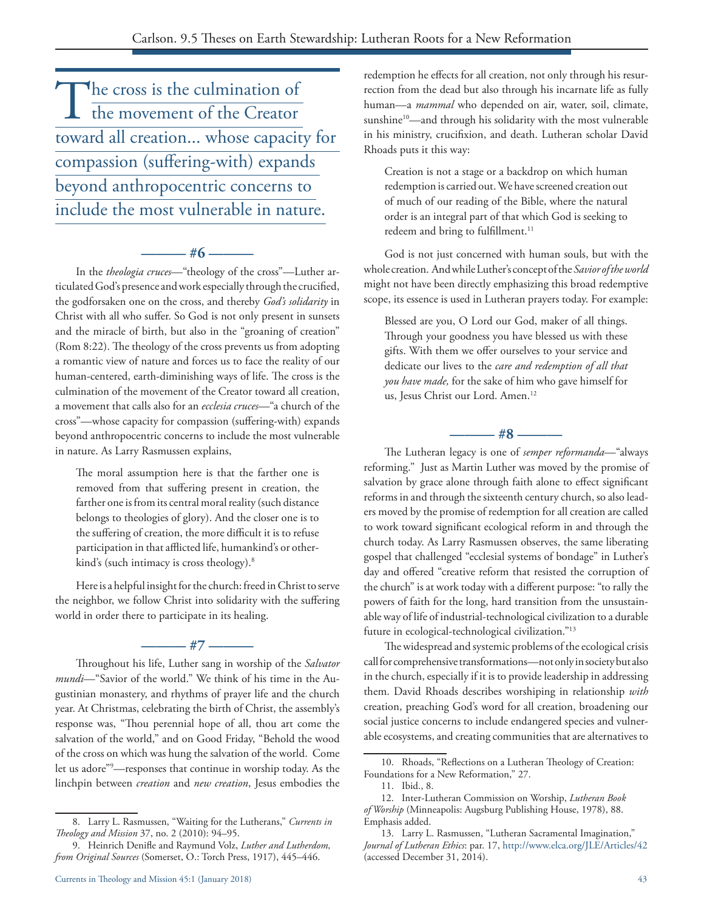$\begin{array}{c}\n\textcolor{red}{\displaystyle\prod_{\text{the cross is the culmination of}}}\n\end{array}$ the movement of the Creator toward all creation... whose capacity for compassion (suffering-with) expands beyond anthropocentric concerns to include the most vulnerable in nature.

**——— #6 ———** In the *theologia cruces*—"theology of the cross"—Luther articulated God's presence and work especially through the crucified, the godforsaken one on the cross, and thereby *God's solidarity* in Christ with all who suffer. So God is not only present in sunsets and the miracle of birth, but also in the "groaning of creation" (Rom 8:22). The theology of the cross prevents us from adopting a romantic view of nature and forces us to face the reality of our human-centered, earth-diminishing ways of life. The cross is the culmination of the movement of the Creator toward all creation, a movement that calls also for an *ecclesia cruces*—"a church of the cross"—whose capacity for compassion (suffering-with) expands beyond anthropocentric concerns to include the most vulnerable in nature. As Larry Rasmussen explains,

The moral assumption here is that the farther one is removed from that suffering present in creation, the farther one is from its central moral reality (such distance belongs to theologies of glory). And the closer one is to the suffering of creation, the more difficult it is to refuse participation in that afflicted life, humankind's or otherkind's (such intimacy is cross theology).<sup>8</sup>

Here is a helpful insight for the church: freed in Christ to serve the neighbor, we follow Christ into solidarity with the suffering world in order there to participate in its healing.

**——— #7 ———**

Throughout his life, Luther sang in worship of the *Salvator mundi*—"Savior of the world." We think of his time in the Augustinian monastery, and rhythms of prayer life and the church year. At Christmas, celebrating the birth of Christ, the assembly's response was, "Thou perennial hope of all, thou art come the salvation of the world," and on Good Friday, "Behold the wood of the cross on which was hung the salvation of the world. Come let us adore"9 —responses that continue in worship today. As the linchpin between *creation* and *new creation*, Jesus embodies the

redemption he effects for all creation, not only through his resurrection from the dead but also through his incarnate life as fully human—a *mammal* who depended on air, water, soil, climate, sunshine<sup>10</sup>—and through his solidarity with the most vulnerable in his ministry, crucifixion, and death. Lutheran scholar David Rhoads puts it this way:

Creation is not a stage or a backdrop on which human redemption is carried out. We have screened creation out of much of our reading of the Bible, where the natural order is an integral part of that which God is seeking to redeem and bring to fulfillment.<sup>11</sup>

God is not just concerned with human souls, but with the whole creation. And while Luther's concept of the *Savior of the world* might not have been directly emphasizing this broad redemptive scope, its essence is used in Lutheran prayers today. For example:

Blessed are you, O Lord our God, maker of all things. Through your goodness you have blessed us with these gifts. With them we offer ourselves to your service and dedicate our lives to the *care and redemption of all that you have made,* for the sake of him who gave himself for us, Jesus Christ our Lord. Amen.<sup>12</sup>

**——— #8 ———**

The Lutheran legacy is one of *semper reformanda*—"always reforming." Just as Martin Luther was moved by the promise of salvation by grace alone through faith alone to effect significant reforms in and through the sixteenth century church, so also leaders moved by the promise of redemption for all creation are called to work toward significant ecological reform in and through the church today. As Larry Rasmussen observes, the same liberating gospel that challenged "ecclesial systems of bondage" in Luther's day and offered "creative reform that resisted the corruption of the church" is at work today with a different purpose: "to rally the powers of faith for the long, hard transition from the unsustainable way of life of industrial-technological civilization to a durable future in ecological-technological civilization."13

The widespread and systemic problems of the ecological crisis call for comprehensive transformations—not only in society but also in the church, especially if it is to provide leadership in addressing them. David Rhoads describes worshiping in relationship *with* creation, preaching God's word for all creation, broadening our social justice concerns to include endangered species and vulnerable ecosystems, and creating communities that are alternatives to

<sup>8.</sup> Larry L. Rasmussen, "Waiting for the Lutherans," *Currents in Theology and Mission* 37, no. 2 (2010): 94–95.

<sup>9.</sup> Heinrich Denifle and Raymund Volz, *Luther and Lutherdom, from Original Sources* (Somerset, O.: Torch Press, 1917), 445–446.

<sup>10.</sup> Rhoads, "Reflections on a Lutheran Theology of Creation: Foundations for a New Reformation," 27.

<sup>11.</sup> Ibid., 8.

<sup>12.</sup> Inter-Lutheran Commission on Worship, *Lutheran Book of Worship* (Minneapolis: Augsburg Publishing House, 1978), 88. Emphasis added.

<sup>13.</sup> Larry L. Rasmussen, "Lutheran Sacramental Imagination," *Journal of Lutheran Ethics*: par. 17, http://www.elca.org/JLE/Articles/42 (accessed December 31, 2014).